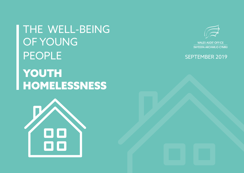THE WELL-BEING OF YOUNG PEOPLE YOUTH **HOMELESSNESS** 





SWYDDFA ARCHWILIO CYMRU

# SEPTEMBER 2019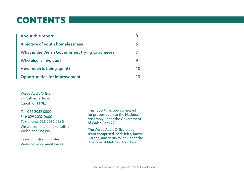# CONTENTS

| <b>About this report</b>                        |    |  |  |
|-------------------------------------------------|----|--|--|
| A picture of youth homelessness                 |    |  |  |
| What is the Welsh Government trying to achieve? |    |  |  |
| Who else is involved?                           | 9  |  |  |
| How much is being spent?                        | 10 |  |  |
| <b>Opportunities for improvement</b>            | 13 |  |  |

## Wales Audit Office 24 Cathedral Road Cardiff CF11 9LJ

Tel: 029 2032 0500 Fax: 029 2032 0600 Textphone: 029 2032 0660 We welcome telephone calls in Welsh and English.

E-mail: info@audit.wales Website: www.audit.wales This report has been prepared for presentation to the National Assembly under the Government of Wales Act 1998.

The Wales Audit Office study team comprised Mark Jeffs, Rachel Harries, and Verity Winn under the direction of Matthew Mortlock.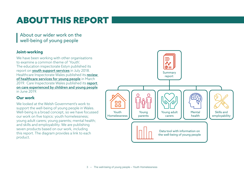# ABOUT THIS REPORT

About our wider work on the well-being of young people

## **Joint-working**

We have been working with other organisations to examine a common theme of 'Youth'. The education inspectorate Estyn published its report on **[youth support services](https://www.estyn.gov.wales/thematic-reports/youth-support-services-wales)** in July 2018. Healthcare Inspectorate Wales published its review [of healthcare services for young people](https://hiw.org.uk/hiw-publishes-review-healthcare-services-young-people) in March 2019. Care Inspectorate Wales published its report [on care experienced by children and young people](https://careinspectorate.wales/sites/default/files/2019-06/190619-national-overview-report-en_2.pdf) in June 2019.

# **Our work**

We looked at the Welsh Government's work to support the well-being of young people in Wales. Well-being is a broad concept, so we have focussed our work on five topics: youth homelessness; young adult carers; young parents; mental health; and skills and employability. We are publishing seven products based on our work, including this report. The diagram provides a link to each product.

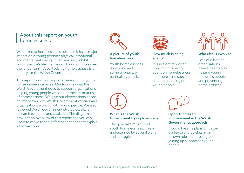# About this report on youth homelessness

We looked at homelessness because it has a major impact on a young person's physical, emotional and mental well-being. It can seriously inhibit young people's life chances and opportunities over the longer term. Also, tackling homelessness is a priority for the Welsh Government.

This report is not a comprehensive audit of youth homelessness services. Our focus is what the Welsh Government does to support organisations helping young people who are homeless or at risk of homelessness. We give our observations based on interviews with Welsh Government officials and organisations working with young people. We also reviewed Welsh Government strategies, plans, research evidence and statistics. The diagram provides an overview of this report and you can use it to move to the different sections that explain what we found.



#### [A picture of youth](#page-4-0)  [homelessness](#page-4-0)

[Youth homelessness](#page-4-0)  [is growing and](#page-4-0)  [some groups are](#page-4-0)  [particularly at risk.](#page-4-0)



### [How much is being](#page-9-0)  [spent?](#page-9-0)

[It is not entirely clear](#page-9-0)  [how much is being](#page-9-0)  [spent on homelessness](#page-9-0)  [and there is no specific](#page-9-0)  [data on spending on](#page-9-0)  [young people.](#page-9-0)



### [Who else is involved](#page-8-0)

[Lots of different](#page-8-0)  [organisations](#page-8-0)  [have a role to play](#page-8-0)  [helping young](#page-8-0)  [homeless people](#page-8-0)  [and preventing](#page-8-0)  [homelessness.](#page-8-0)



### [What is the Welsh](#page-6-0)  [Government trying to achieve](#page-6-0)

[The general aim is to end](#page-6-0)  [youth homelessness. This is](#page-6-0)  [underpinned by several plans](#page-6-0)  [and strategies.](#page-6-0)



#### [Opportunities for](#page-12-0)  [improvement in the Welsh](#page-12-0)  [Government's approach](#page-12-0)

[It could base its plans on better](#page-12-0)  [evidence and be clearer on](#page-12-0)  [its own role in improving and](#page-12-0)  [joining up support for young](#page-12-0)  [people.](#page-12-0)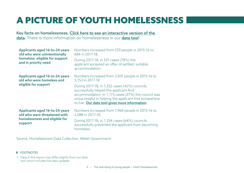# <span id="page-4-0"></span>A PICTURE OF YOUTH HOMELESSNESS

Key facts on homelessness. [Click here to see an interactive version of the](https://app.powerbi.com/view?r=eyJrIjoiNDA5Mzk5MTEtMGI2MC00N2FhLWE3YjItYWQyMDBiOGZlZGFhIiwidCI6ImRmZDY5MmYwLTE2YmYtNDQ0OS04OGUzLWU3NzM1ZGZjY2ZlOCIsImMiOjh9)  [data](https://app.powerbi.com/view?r=eyJrIjoiNDA5Mzk5MTEtMGI2MC00N2FhLWE3YjItYWQyMDBiOGZlZGFhIiwidCI6ImRmZDY5MmYwLTE2YmYtNDQ0OS04OGUzLWU3NzM1ZGZjY2ZlOCIsImMiOjh9). There is more information on homelessness in our [data tool](https://app.powerbi.com/view?r=eyJrIjoiOTU0YzA3ZmEtNzBmZi00OTgwLWI5MjktNGUyOWRmMDNkYzI4IiwidCI6ImRmZDY5MmYwLTE2YmYtNDQ0OS04OGUzLWU3NzM1ZGZjY2ZlOCIsImMiOjh9)<sup>1</sup>

| <b>Applicants aged 16-to-24 years</b>                  | Numbers increased from 570 people in 2015-16 to                                                                                                                                                                                                          |  |  |
|--------------------------------------------------------|----------------------------------------------------------------------------------------------------------------------------------------------------------------------------------------------------------------------------------------------------------|--|--|
| old who were unintentionally                           | 684 in 2017-18.                                                                                                                                                                                                                                          |  |  |
| homeless, eligible for support<br>and in priority need | During 2017-18, in 531 cases (78%) the<br>applicant accepted an offer of settled, suitable<br>accommodation.                                                                                                                                             |  |  |
| <b>Applicants aged 16-to-24 years</b>                  | Numbers increased from 2,031 people in 2015-16 to                                                                                                                                                                                                        |  |  |
| old who were homeless and                              | 3,153 in 2017-18                                                                                                                                                                                                                                         |  |  |
| eligible for support                                   | During 2017-18, in 1,332 cases (42%) councils<br>successfully helped the applicant find<br>accommodation. In 1,173 cases (37%) the council was<br>unsuccessful in helping the applicant find somewhere<br>to live. Our data tool gives more information. |  |  |
| <b>Applicants aged 16-to-24 years</b>                  | Numbers increased from 1,968 people in 2015-16 to                                                                                                                                                                                                        |  |  |
| old who were threatened with                           | 2,088 in 2017-18.                                                                                                                                                                                                                                        |  |  |
| homelessness and eligible for<br>support               | During 2017-18, in 1,334 cases (64%) councils<br>successfully prevented the applicant from becoming<br>homeless.                                                                                                                                         |  |  |

Source: Homelessness Data Collection, Welsh Government

#### **FOOTNOTES**

1 Data in this report may differ slightly from our data tool which includes live data updates.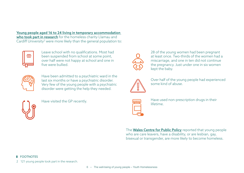[Young people aged 16 to 24 living in temporary accommodation](https://www.llamau.org.uk/seyhope)  [who took part in research](https://www.llamau.org.uk/seyhope) for the homeless charity Llamau and Cardiff University $^{\scriptscriptstyle 2}$  were more likely than the general population to:

| ______<br>______ |  |
|------------------|--|
|                  |  |
| -                |  |

Leave school with no qualifications. Most had been suspended from school at some point, over half were not happy at school and one in five were bullied.



Have been admitted to a psychiatric ward in the last six months or have a psychiatric disorder. Very few of the young people with a psychiatric disorder were getting the help they needed.



Have visited the GP recently.



28 of the young women had been pregnant at least once. Two-thirds of the women had a miscarriage, and one in ten did not continue the pregnancy. Just under one in six women kept the baby.



Over half of the young people had experienced some kind of abuse.



Have used non-prescription drugs in their lifetime.

The [Wales Centre for Public Policy](https://www.wcpp.org.uk/publication/preventing-youth-homelessness/) reported that young people who are care leavers, have a disability, or are lesbian, gay, bisexual or transgender, are more likely to become homeless.

#### **ECOTNOTES**

2 121 young people took part in the research.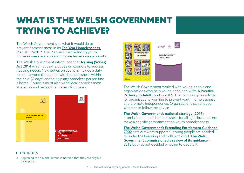# <span id="page-6-0"></span>WHAT IS THE WELSH GOVERNMENT TRYING TO ACHIEVE?

The Welsh Government said what it would do to prevent homelessness in its [Ten Year Homelessness](https://gov.wales/10-year-homelessness-plan-2009-2019)  [Plan 2009-2019](https://gov.wales/10-year-homelessness-plan-2009-2019). The Plan said that reducing youth homelessness and supporting care leavers was a priority.

The Welsh Government introduced the [Housing \(Wales\)](http://www.legislation.gov.uk/anaw/2014/7/contents/enacted)  [Act 2014](http://www.legislation.gov.uk/anaw/2014/7/contents/enacted) which put extra duties on councils to address housing needs. New duties on councils include a duty to help anyone threatened with homelessness within the next 56 days<sup>3</sup> and to help any homeless person find a home. Councils must also write local homelessness strategies and review them every four years. The Welsh Government worked with young people and





 $\mathcal{Q}^{\text{cymorth}}_{\text{cymru}}$ Preventing Homelessness and Promoting Independence: A Positive Pathway to Adulthood

organisations who help young people to write A Positive [Pathway to Adulthood in 2016](https://gov.wales/docs/desh/publications/161019-positive-pathway-en.pdf). The Pathway gives advice for organisations working to prevent youth homelessness and promote independence. Organisations can choose whether to follow the advice.

#### [The Welsh Government's national strategy \(2017\)](https://gov.wales/docs/strategies/170919-prosperity-for-all-en.pdf)

promises to reduce homelessness for all ages but does not make a specific commitment on youth homelessness.

The [Welsh Government's Extending Entitlement Guidance](https://beta.gov.wales/sites/default/files/publications/2018-02/direction-and-guidance-extending-entitlement-support-for-11-to-25-year-olds-in-wales.pdf) [2002](https://beta.gov.wales/sites/default/files/publications/2018-02/direction-and-guidance-extending-entitlement-support-for-11-to-25-year-olds-in-wales.pdf) sets out what support all young people are entitled to under the Learning and Skills Act 2000. The Welsh [Government commissioned a review of its guidance](https://beta.gov.wales/sites/default/files/publications/2018-04/180316-our-future-a-review-of-extending-entitlement_0.pdf) in 2018 but has not decided whether to update it.

#### **FOOTNOTES**

3 Beginning the day the person is notified that they are eligible for support.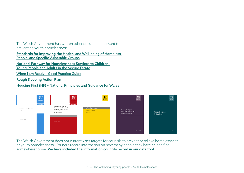#### The Welsh Government has written other documents relevant to preventing youth homelessness:

[Standards for Improving the Health and Well-being of Homeless](https://gweddill.gov.wales/docs/dhss/publications/130429homelessnessen.pdf)  [People and Specific Vulnerable Groups](https://gweddill.gov.wales/docs/dhss/publications/130429homelessnessen.pdf)

[National Pathway for Homelessness Services to Children,](https://gweddill.gov.wales/docs/desh/publications/151215-national-pathway-for-homelessness-services-en.pdf) 

[Young People and Adults in the Secure Estate](https://gweddill.gov.wales/docs/desh/publications/151215-national-pathway-for-homelessness-services-en.pdf)

[When I am Ready – Good Practice Guide](https://gweddill.gov.wales/docs/dhss/publications/160307guidanceen.pdf)

[Rough Sleeping Action Plan](https://gweddill.gov.wales/docs/desh/publications/180206-rough-sleeping-action-plan-en.pdf)

[Housing First \(HF\) – National Principles and Guidance for Wales](https://gweddill.gov.wales/docs/desh/publications/180206-housing-first-en.pdf)



The Welsh Government does not currently set targets for councils to prevent or relieve homelessness or youth homelessness. Councils record information on how many people they have helped find somewhere to live. [We have included the information councils record in our data tool](https://app.powerbi.com/view?r=eyJrIjoiOTU0YzA3ZmEtNzBmZi00OTgwLWI5MjktNGUyOWRmMDNkYzI4IiwidCI6ImRmZDY5MmYwLTE2YmYtNDQ0OS04OGUzLWU3NzM1ZGZjY2ZlOCIsImMiOjh9).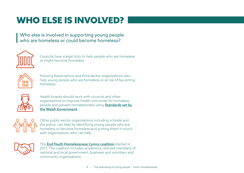# <span id="page-8-0"></span>WHO ELSE IS INVOLVED?

Who else is involved in supporting young people who are homeless or could become homeless?



Councils have a legal duty to help people who are homeless or might become homeless.



Housing Associations and third-sector organisations also help young people who are homeless or at risk of becoming homeless.



Health boards should work with councils and other organisations to improve health outcomes for homeless people and prevent homelessness using **Standards set by** [the Welsh Government](https://gov.wales/docs/dhss/publications/130429homelessnessen.pdf).



Other public-sector organisations including schools and the police, can help by identifying young people who are homeless or become homeless and putting them in touch with organisations who can help.



The [End Youth Homelessness Cymru coalition](https://www.llamau.org.uk/eyhcymru) started in 2017. The coalition includes academics, elected members of national and local government, business and voluntary and community organisations.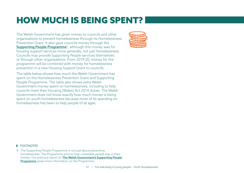# <span id="page-9-0"></span>HOW MUCH IS BEING SPENT?

The Welsh Government has given money to councils and other organisations to prevent homelessness through its Homelessness Prevention Grant. It also gave councils money through the [Supporting People Programme](https://gov.wales/supporting-people-programme)<sup>4</sup>, although this money was for housing support services more generally, not just homelessness. Councils may provide Supporting People services themselves or through other organisations. From 2019-20, money for the programme will be combined with money for homelessness prevention in a new Housing Support Grant to councils.

The table below shows how much the Welsh Government has spent on the Homelessness Prevention Grant and Supporting People Programme. The table also shows extra Welsh Government money spent on homelessness, including to help councils meet their Housing (Wales) Act 2014 duties. The Welsh Government does not know exactly how much money is being spent on youth homelessness because most of its spending on homelessness has been to help people of all ages.



#### **ECOTNOTES**

4 The Supporting People Programme is not just about preventing homelessness. The Programme aims to help vulnerable people stay in their homes. Our previous report on The Welsh Government's Supporting People **[Programme](http://www.audit.wales/publication/welsh-governments-supporting-people-programme)** gives more information on the Programme.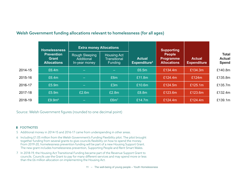### Welsh Government funding allocations relevant to homelessness (for all ages)

|         | <b>Homelessness</b><br><b>Prevention</b><br><b>Grant</b><br><b>Allocations</b> | <b>Extra money Allocations</b>                       |                                                             |                                           | <b>Supporting</b>                                       |                                     |                                               |  |
|---------|--------------------------------------------------------------------------------|------------------------------------------------------|-------------------------------------------------------------|-------------------------------------------|---------------------------------------------------------|-------------------------------------|-----------------------------------------------|--|
|         |                                                                                | <b>Rough Sleeping</b><br>Additional<br>In-year money | <b>Housing Act</b><br><b>Transitional</b><br><b>Funding</b> | <b>Actual</b><br>Expenditure <sup>5</sup> | <b>People</b><br><b>Programme</b><br><b>Allocations</b> | <b>Actual</b><br><b>Expenditure</b> | <b>Total</b><br><b>Actual</b><br><b>Spend</b> |  |
| 2014-15 | £6.4m                                                                          | $\sim$                                               |                                                             | £6.5m                                     | £134.4m                                                 | £134.3m                             | £140.8m                                       |  |
| 2015-16 | £6.4m                                                                          | $\overline{\phantom{a}}$                             | £6m                                                         | £11.8m                                    | £124.4m                                                 | £124m                               | £135.8m                                       |  |
| 2016-17 | £5.9m                                                                          | $\sim$                                               | £3m                                                         | £10.6m                                    | £124.5m                                                 | £125.1 $m$                          | £135.7m                                       |  |
| 2017-18 | £5.9m                                                                          | £2.6m                                                | £2.8m                                                       | £8.8m                                     | £123.6m                                                 | £123.6m                             | £132.4m                                       |  |
| 2018-19 | £9.9 <sup>6</sup>                                                              |                                                      | £6m <sup>7</sup>                                            | £14.7 $\overline{m}$                      | £124.4m                                                 | £124.4m                             | £139.1m                                       |  |

Source: Welsh Government figures (rounded to one decimal point)

#### **FOOTNOTES**

- 5 Additional money in 2014-15 and 2016-17 came from underspending in other areas.
- 6 Including £1.05 million from the Welsh Government's Funding Flexibility pilot. The pilot brought together funding from several grants to give councils flexibility on how to spend the money. From 2019-20, homelessness prevention funding will be part of a new Housing Support Grant. The new grant includes homelessness prevention, Supporting People and Rent Smart Wales.
- 7 In 2018-19, the Housing Act Transitional Funding became part of the Revenue Support Grant to councils. Councils use the Grant to pay for many different services and may spend more or less than the £6 million allocation on implementing the Housing Act.

11 – The well-being of young people – Youth Homelessness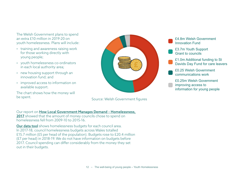The Welsh Government plans to spend an extra £10 million in 2019-20 on youth homelessness. Plans will include:

- training and awareness raising work for those working directly with young people;
- youth homelessness co-ordinators in each local authority area;
- new housing support through an innovation fund; and
- improved access to information on available support.

The chart shows how the money will be spent.



Source: Welsh Government figures

£4.8m Welsh Government Innovation Fund

- £3.7m Youth Support Grant to councils
- £1.0m Additional funding to St Davids Day Fund for care leavers
- £0.25 Welsh Government communications work

£0.25m Welsh Government improving access to information for young people

Our report on How Local Government Manages Demand - Homelessness, [2017](http://www.audit.wales/publication/how-local-government-manages-demand-homelessness) showed that the amount of money councils chose to spend on

homelessness fell from 2009-10 to 2015-16.

**[Our data tool](https://app.powerbi.com/view?r=eyJrIjoiOTU0YzA3ZmEtNzBmZi00OTgwLWI5MjktNGUyOWRmMDNkYzI4IiwidCI6ImRmZDY5MmYwLTE2YmYtNDQ0OS04OGUzLWU3NzM1ZGZjY2ZlOCIsImMiOjh9)** shows homelessness budgets for each council area. In 2017-18, council homelessness budgets across Wales totalled £15.7 million (£5 per head of the population). Budgets rose to £20.4 million (£7 per head) in 2018-19. We do not have information on budgets before 2017. Council spending can differ considerably from the money they set out in their budgets.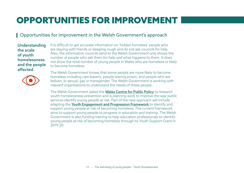# <span id="page-12-0"></span>OPPORTUNITIES FOR IMPROVEMENT

# Opportunities for improvement in the Welsh Government's approach

Understanding the scale of youth homelessness and the people affected

It is difficult to get accurate information on 'hidden homeless' people who are staying with friends or sleeping rough and do not ask councils for help. Also, the information councils send to the Welsh Government only shows the number of people who ask them for help and what happens to them. It does not show the total number of young people in Wales who are homeless or likely to become homeless.



The Welsh Government knows that some people are more likely to become homeless including care leavers, people leaving prison, and people who are lesbian, bi-sexual, gay or transgender. The Welsh Government is working with relevant organisations to understand the needs of these people.

The Welsh Government asked the **[Wales Centre for Public Policy](https://www.wcpp.org.uk/publication/preventing-youth-homelessness/)** to research youth homelessness prevention and is planning work to improve the way public services identify young people at risk. Part of the new approach will include adapting the [Youth Engagement and Progression Framework](https://beta.gov.wales/sites/default/files/publications/2018-02/implementation-plan-youth-engagement-and-progression-framework.pdf) to identify and support young people at risk of becoming homeless. The current Framework aims to support young people to progress in education and training. The Welsh Government is also funding training to help education professionals to identify young people at risk of becoming homeless through its Youth Support Grant in 2019-20.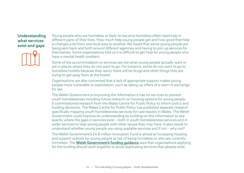### Understanding what services exist and gaps



Young people who are homeless or likely to become homeless often need help in different parts of their lives. How much help young people get and how good that help is changes a lot from one local area to another. We heard that some young people are being sent back and forth around different agencies and having to join up services for themselves. Some organisations told us it is difficult to get help for young people who have a mental health problem.

Some of the accommodation or services are not what young people actually want or are in places where they do not want to go. For instance, some do not want to go to homeless hostels because they worry there will be drugs and other things they are trying to get away from at the hostel.

Organisations are also concerned that a lack of appropriate support makes young people more vulnerable to exploitation, such as taking up offers of a room in exchange for sex.

The Welsh Government is improving the information it has on services to prevent youth homelessness including future research on housing options for young people. It commissioned research from the Wales Centre for Public Policy to inform policy and funding decisions. The Wales Centre for Public Policy has published separate research specifically mapping youth homelessness services for care leavers in Wales. The Welsh Government could improve its understanding by building on this information to see exactly where the gaps in services exist – both in youth homelessness services and in wider services to help young people with other issues they may have. It also needs to understand whether young people are using available services and if not – why not?

The Welsh Government's £4.8 million Innovation Fund is aimed at increasing housing and support options for young people at risk of being homeless or who are currently homeless. The Welsh Government's funding quidance says that organisations applying for the funding should work together to avoid duplicating services that already exist.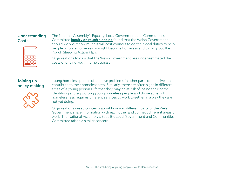### Understanding **Costs**



The National Assembly's Equality, Local Government and Communities Committee [inquiry on rough sleeping](http://www.assembly.wales/laid documents/cr-ld11517/cr-ld11517-e.pdf) found that the Welsh Government should work out how much it will cost councils to do their legal duties to help people who are homeless or might become homeless and to carry out the Rough Sleeping Action Plan.

Organisations told us that the Welsh Government has under-estimated the costs of ending youth homelessness.

### Joining up policy making



Young homeless people often have problems in other parts of their lives that contribute to their homelessness. Similarly, there are often signs in different areas of a young person's life that they may be at risk of losing their home. Identifying and supporting young homeless people and those at risk of homelessness requires different services to work together in a way they are not yet doing.

Organisations raised concerns about how well different parts of the Welsh Government share information with each other and connect different areas of work. The National Assembly's Equality, Local Government and Communities Committee raised a similar concern.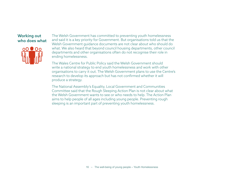### Working out who does what



The Welsh Government has committed to preventing youth homelessness and said it is a key priority for Government. But organisations told us that the Welsh Government guidance documents are not clear about who should do what. We also heard that beyond council housing departments, other council departments and other organisations often do not recognise their role in ending homelessness.

The Wales Centre for Public Policy said the Welsh Government should write a national strategy to end youth homelessness and work with other organisations to carry it out. The Welsh Government plans to use the Centre's research to develop its approach but has not confirmed whether it will produce a strategy.

The National Assembly's Equality, Local Government and Communities Committee said that the Rough Sleeping Action Plan is not clear about what the Welsh Government wants to see or who needs to help. The Action Plan aims to help people of all ages including young people. Preventing rough sleeping is an important part of preventing youth homelessness.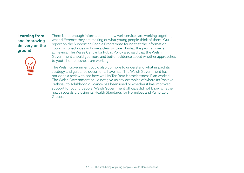## Learning from and improving delivery on the ground



There is not enough information on how well services are working together, what difference they are making or what young people think of them. Our report on the Supporting People Programme found that the information councils collect does not give a clear picture of what the programme is achieving. The Wales Centre for Public Policy also said that the Welsh Government should get more and better evidence about whether approaches to youth homelessness are working.

The Welsh Government could also do more to understand what impact its strategy and guidance documents have had. The Welsh Government has not done a review to see how well its Ten-Year Homelessness Plan worked. The Welsh Government could not give us any examples of where its Positive Pathway to Adulthood guidance has been used or whether it has improved support for young people. Welsh Government officials did not know whether health boards are using its Health Standards for Homeless and Vulnerable Groups.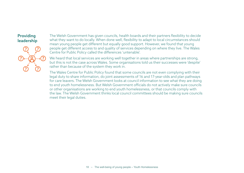# Providing leadership

The Welsh Government has given councils, health boards and their partners flexibility to decide what they want to do locally. When done well, flexibility to adapt to local circumstances should mean young people get different but equally good support. However, we found that young people get different access to and quality of services depending on where they live. The Wales Centre for Public Policy called the differences 'untenable'.

We heard that local services are working well together in areas where partnerships are strong, but this is not the case across Wales. Some organisations told us their successes were 'despite' rather than because of the system they work in.

The Wales Centre for Public Policy found that some councils are not even complying with their legal duty to share information, do joint assessments of 16 and 17-year-olds and plan pathways for care leavers. The Welsh Government looks at council information to see what they are doing to end youth homelessness. But Welsh Government officials do not actively make sure councils or other organisations are working to end youth homelessness, or that councils comply with the law. The Welsh Government thinks local council committees should be making sure councils meet their legal duties.